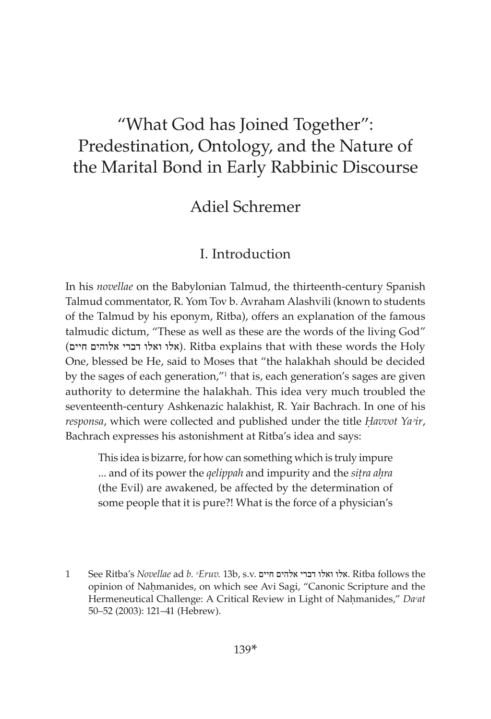# "What God has Joined Together": Predestination, Ontology, and the Nature of the Marital Bond in Early Rabbinic Discourse

# Adiel Schremer

## I. Introduction

In his *novellae* on the Babylonian Talmud, the thirteenth-century Spanish Talmud commentator, R. Yom Tov b. Avraham Alashvili (known to students of the Talmud by his eponym, Ritba), offers an explanation of the famous talmudic dictum, "These as well as these are the words of the living God" (אלו ואלו דברי אלוהים חיים). Ritba explains that with these words the Holy One, blessed be He, said to Moses that "the halakhah should be decided by the sages of each generation,"<sup>1</sup> that is, each generation's sages are given authority to determine the halakhah. This idea very much troubled the seventeenth-century Ashkenazic halakhist, R. Yair Bachrach. In one of his *responsa*, which were collected and published under the title *Havvot Ya<sup>3</sup>ir*, Bachrach expresses his astonishment at Ritba's idea and says:

This idea is bizarre, for how can something which is truly impure ... and of its power the *qelippah* and impurity and the *sitra ahra* (the Evil) are awakened, be affected by the determination of some people that it is pure?! What is the force of a physician's

1 See Ritba's *Novellae* ad *b. ᶜEruv.* 13b, s.v. חיים אלהים דברי ואלו אלו. Ritba follows the opinion of Nahmanides, on which see Avi Sagi, "Canonic Scripture and the Hermeneutical Challenge: A Critical Review in Light of Nahmanides," Da<sup>*cat*</sup> 50–52 (2003): 121–41 (Hebrew).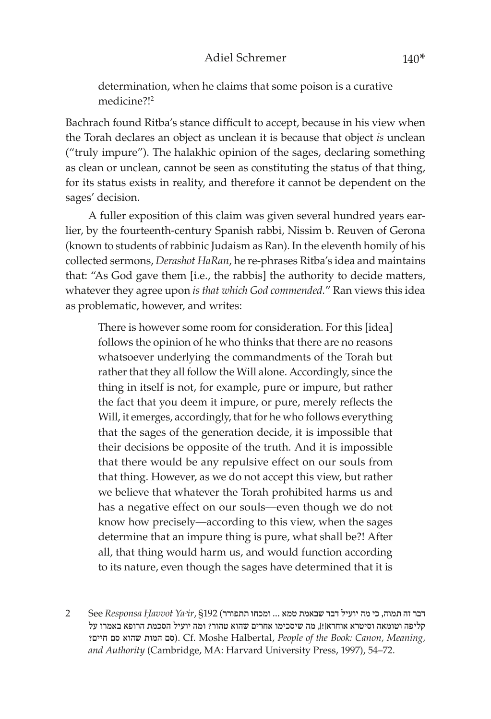determination, when he claims that some poison is a curative medicine?!2

Bachrach found Ritba's stance difficult to accept, because in his view when the Torah declares an object as unclean it is because that object *is* unclean ("truly impure"). The halakhic opinion of the sages, declaring something as clean or unclean, cannot be seen as constituting the status of that thing, for its status exists in reality, and therefore it cannot be dependent on the sages' decision.

A fuller exposition of this claim was given several hundred years earlier, by the fourteenth-century Spanish rabbi, Nissim b. Reuven of Gerona (known to students of rabbinic Judaism as Ran). In the eleventh homily of his collected sermons, *Derashot HaRan*, he re-phrases Ritba's idea and maintains that: "As God gave them [i.e., the rabbis] the authority to decide matters, whatever they agree upon *is that which God commended.*" Ran views this idea as problematic, however, and writes:

There is however some room for consideration. For this [idea] follows the opinion of he who thinks that there are no reasons whatsoever underlying the commandments of the Torah but rather that they all follow the Will alone. Accordingly, since the thing in itself is not, for example, pure or impure, but rather the fact that you deem it impure, or pure, merely reflects the Will, it emerges, accordingly, that for he who follows everything that the sages of the generation decide, it is impossible that their decisions be opposite of the truth. And it is impossible that there would be any repulsive effect on our souls from that thing. However, as we do not accept this view, but rather we believe that whatever the Torah prohibited harms us and has a negative effect on our souls—even though we do not know how precisely—according to this view, when the sages determine that an impure thing is pure, what shall be?! After all, that thing would harm us, and would function according to its nature, even though the sages have determined that it is

דבר זה תמוה, כי מה יועיל דבר שבאמת טמא ... ומכחו תתפורר) 192§ ,*Yaᵓir Êavvot Responsa* See 2 קליפה וטומאה וסיטרא אוחרא]![, מה שיסכימו אחרים שהוא טהור? ומה יועיל הסכמת הרופא באמרו על ?חיים סם שהוא המות סם(. Cf. Moshe Halbertal, *People of the Book: Canon, Meaning, and Authority* (Cambridge, MA: Harvard University Press, 1997), 54–72.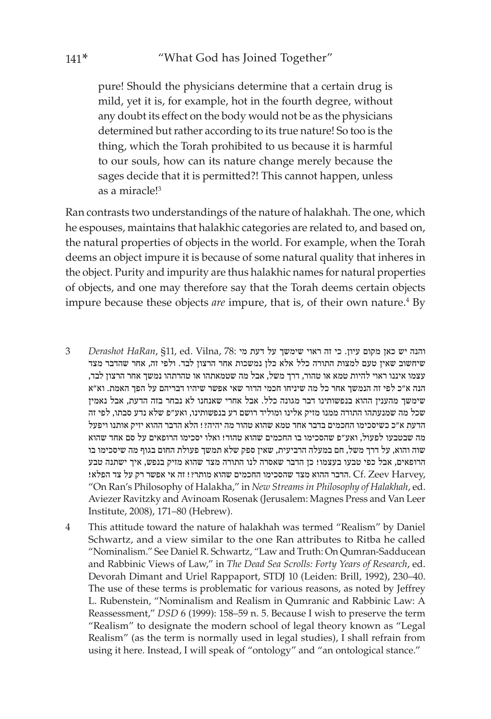pure! Should the physicians determine that a certain drug is mild, yet it is, for example, hot in the fourth degree, without any doubt its effect on the body would not be as the physicians determined but rather according to its true nature! So too is the thing, which the Torah prohibited to us because it is harmful to our souls, how can its nature change merely because the sages decide that it is permitted?! This cannot happen, unless as a miracle!3

Ran contrasts two understandings of the nature of halakhah. The one, which he espouses, maintains that halakhic categories are related to, and based on, the natural properties of objects in the world. For example, when the Torah deems an object impure it is because of some natural quality that inheres in the object. Purity and impurity are thus halakhic names for natural properties of objects, and one may therefore say that the Torah deems certain objects impure because these objects *are* impure, that is, of their own nature.<sup>4</sup> By

- והנה יש כאן מקום עיון. כי זה ראוי שימשך על דעת מי Derashot HaRan, §11, ed. Vilna, 78: ה שיחשוב שאין טעם למצות התורה כלל אלא כלן נמשכות אחר הרצון לבד. ולפי זה, אחר שהדבר מצד עצמו איננו ראוי להיות טמא או טהור, דרך משל, אבל מה שטמאתהו או טהרתהו נמשך אחר הרצון לבד, הנה א"כ לפי זה הנמשך אחר כל מה שיניחו חכמי הדור שאי אפשר שיהיו דבריהם על הפך האמת. וא"א שימשך מהענין ההוא בנפשותינו דבר מגונה כלל. אבל אחרי שאנחנו לא נבחר בזה הדעת, אבל נאמין שכל מה שמנעתהו התורה ממנו מזיק אלינו ומוליד רושם רע בנפשותינו, ואע"פ שלא נדע סבתו, לפי זה הדעת א"כ כשיסכימו החכמים בדבר אחד טמא שהוא טהור מה יהיה?! הלא הדבר ההוא יזיק אותנו ויפעל מה שבטבעו לפעול, ואע"פ שהסכימו בו החכמים שהוא טהור! ואלו יסכימו הרופאים על סם אחד שהוא שוה והוא, על דרך משל, חם במעלה הרביעית, שאין ספק שלא תמשך פעולת החום בגוף מה שיסכימו בו הרופאים, אבל כפי טבעו בעצמו! כן הדבר שאסרה לנו התורה מצד שהוא מזיק בנפש, איך ישתנה טבע ,Harvey .הדבר ההוא מצד שהסכימו החכמים שהוא מותר?! זה אי אפשר רק על צד הפלא! Cf. Zeev Harvey. "On Ran's Philosophy of Halakha," in *New Streams in Philosophy of Halakhah*, ed. Aviezer Ravitzky and Avinoam Rosenak (Jerusalem: Magnes Press and Van Leer Institute, 2008), 171–80 (Hebrew).
- 4 This attitude toward the nature of halakhah was termed "Realism" by Daniel Schwartz, and a view similar to the one Ran attributes to Ritba he called "Nominalism." See Daniel R. Schwartz, "Law and Truth: On Qumran-Sadducean and Rabbinic Views of Law," in *The Dead Sea Scrolls: Forty Years of Research*, ed. Devorah Dimant and Uriel Rappaport, STDJ 10 (Leiden: Brill, 1992), 230–40. The use of these terms is problematic for various reasons, as noted by Jeffrey L. Rubenstein, "Nominalism and Realism in Qumranic and Rabbinic Law: A Reassessment," *DSD* 6 (1999): 158–59 n. 5. Because I wish to preserve the term "Realism" to designate the modern school of legal theory known as "Legal Realism" (as the term is normally used in legal studies), I shall refrain from using it here. Instead, I will speak of "ontology" and "an ontological stance."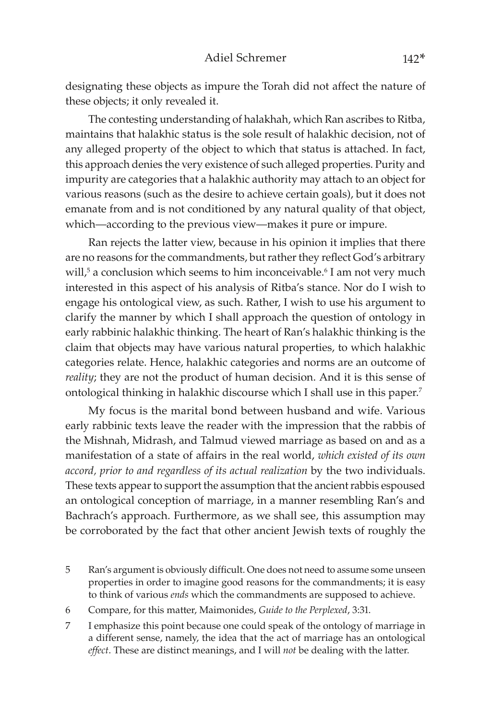designating these objects as impure the Torah did not affect the nature of these objects; it only revealed it.

The contesting understanding of halakhah, which Ran ascribes to Ritba, maintains that halakhic status is the sole result of halakhic decision, not of any alleged property of the object to which that status is attached. In fact, this approach denies the very existence of such alleged properties. Purity and impurity are categories that a halakhic authority may attach to an object for various reasons (such as the desire to achieve certain goals), but it does not emanate from and is not conditioned by any natural quality of that object, which—according to the previous view—makes it pure or impure.

Ran rejects the latter view, because in his opinion it implies that there are no reasons for the commandments, but rather they reflect God's arbitrary will,<sup>5</sup> a conclusion which seems to him inconceivable.<sup>6</sup> I am not very much interested in this aspect of his analysis of Ritba's stance. Nor do I wish to engage his ontological view, as such. Rather, I wish to use his argument to clarify the manner by which I shall approach the question of ontology in early rabbinic halakhic thinking. The heart of Ran's halakhic thinking is the claim that objects may have various natural properties, to which halakhic categories relate. Hence, halakhic categories and norms are an outcome of *reality*; they are not the product of human decision. And it is this sense of ontological thinking in halakhic discourse which I shall use in this paper.7

My focus is the marital bond between husband and wife. Various early rabbinic texts leave the reader with the impression that the rabbis of the Mishnah, Midrash, and Talmud viewed marriage as based on and as a manifestation of a state of affairs in the real world, *which existed of its own accord, prior to and regardless of its actual realization* by the two individuals. These texts appear to support the assumption that the ancient rabbis espoused an ontological conception of marriage, in a manner resembling Ran's and Bachrach's approach. Furthermore, as we shall see, this assumption may be corroborated by the fact that other ancient Jewish texts of roughly the

- 5 Ran's argument is obviously difficult. One does not need to assume some unseen properties in order to imagine good reasons for the commandments; it is easy to think of various *ends* which the commandments are supposed to achieve.
- 6 Compare, for this matter, Maimonides, *Guide to the Perplexed*, 3:31.
- 7 I emphasize this point because one could speak of the ontology of marriage in a different sense, namely, the idea that the act of marriage has an ontological *effect*. These are distinct meanings, and I will *not* be dealing with the latter.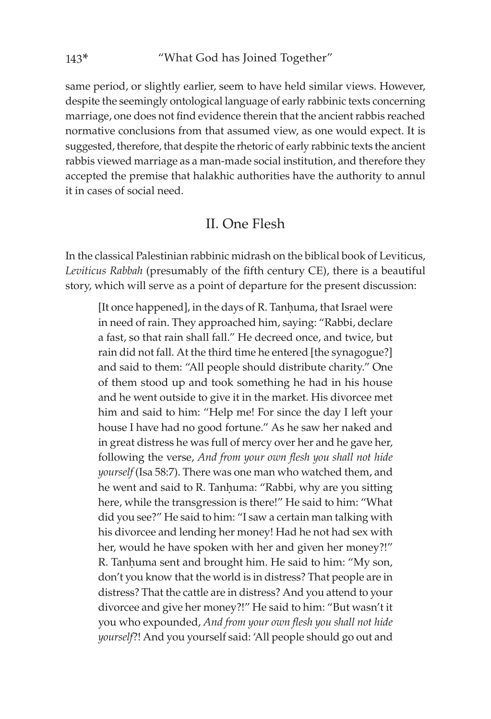same period, or slightly earlier, seem to have held similar views. However, despite the seemingly ontological language of early rabbinic texts concerning marriage, one does not find evidence therein that the ancient rabbis reached normative conclusions from that assumed view, as one would expect. It is suggested, therefore, that despite the rhetoric of early rabbinic texts the ancient rabbis viewed marriage as a man-made social institution, and therefore they accepted the premise that halakhic authorities have the authority to annul it in cases of social need.

### II. One Flesh

In the classical Palestinian rabbinic midrash on the biblical book of Leviticus, *Leviticus Rabbah* (presumably of the fifth century CE), there is a beautiful story, which will serve as a point of departure for the present discussion:

[It once happened], in the days of R. Tanhuma, that Israel were in need of rain. They approached him, saying: "Rabbi, declare a fast, so that rain shall fall." He decreed once, and twice, but rain did not fall. At the third time he entered [the synagogue?] and said to them: "All people should distribute charity." One of them stood up and took something he had in his house and he went outside to give it in the market. His divorcee met him and said to him: "Help me! For since the day I left your house I have had no good fortune." As he saw her naked and in great distress he was full of mercy over her and he gave her, following the verse, *And from your own flesh you shall not hide yourself* (Isa 58:7). There was one man who watched them, and he went and said to R. Tanhuma: "Rabbi, why are you sitting here, while the transgression is there!" He said to him: "What did you see?" He said to him: "I saw a certain man talking with his divorcee and lending her money! Had he not had sex with her, would he have spoken with her and given her money?!" R. Tanhuma sent and brought him. He said to him: "My son, don't you know that the world is in distress? That people are in distress? That the cattle are in distress? And you attend to your divorcee and give her money?!" He said to him: "But wasn't it you who expounded, *And from your own flesh you shall not hide yourself*?! And you yourself said: 'All people should go out and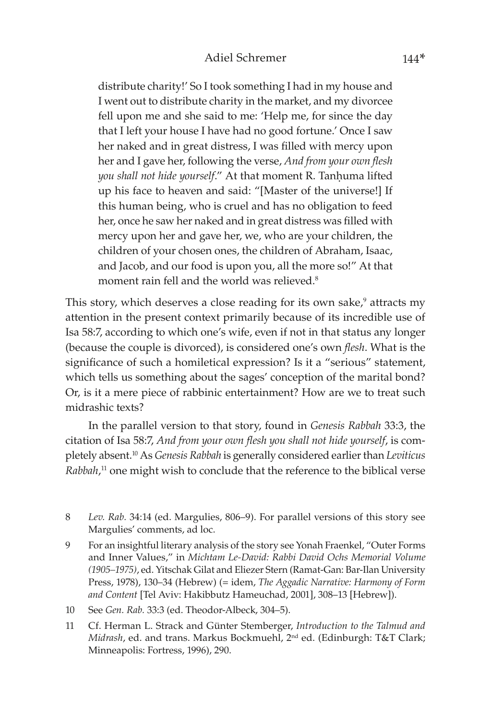distribute charity!' So I took something I had in my house and I went out to distribute charity in the market, and my divorcee fell upon me and she said to me: 'Help me, for since the day that I left your house I have had no good fortune.' Once I saw her naked and in great distress, I was filled with mercy upon her and I gave her, following the verse, *And from your own flesh you shall not hide yourself."* At that moment R. Tanhuma lifted up his face to heaven and said: "[Master of the universe!] If this human being, who is cruel and has no obligation to feed her, once he saw her naked and in great distress was filled with mercy upon her and gave her, we, who are your children, the children of your chosen ones, the children of Abraham, Isaac, and Jacob, and our food is upon you, all the more so!" At that moment rain fell and the world was relieved.<sup>8</sup>

This story, which deserves a close reading for its own sake,<sup>9</sup> attracts my attention in the present context primarily because of its incredible use of Isa 58:7, according to which one's wife, even if not in that status any longer (because the couple is divorced), is considered one's own *flesh*. What is the significance of such a homiletical expression? Is it a "serious" statement, which tells us something about the sages' conception of the marital bond? Or, is it a mere piece of rabbinic entertainment? How are we to treat such midrashic texts?

In the parallel version to that story, found in *Genesis Rabbah* 33:3, the citation of Isa 58:7, *And from your own flesh you shall not hide yourself*, is completely absent.10 As *Genesis Rabbah* is generally considered earlier than *Leviticus*  Rabbah,<sup>11</sup> one might wish to conclude that the reference to the biblical verse

- 9 For an insightful literary analysis of the story see Yonah Fraenkel, "Outer Forms and Inner Values," in *Michtam Le-David: Rabbi David Ochs Memorial Volume (1905–1975)*, ed. Yitschak Gilat and Eliezer Stern (Ramat-Gan: Bar-Ilan University Press, 1978), 130–34 (Hebrew) (= idem, *The Aggadic Narrative: Harmony of Form and Content* [Tel Aviv: Hakibbutz Hameuchad, 2001], 308–13 [Hebrew]).
- 10 See *Gen. Rab.* 33:3 (ed. Theodor-Albeck, 304–5).
- 11 Cf. Herman L. Strack and Günter Stemberger, *Introduction to the Talmud and Midrash*, ed. and trans. Markus Bockmuehl, 2nd ed. (Edinburgh: T&T Clark; Minneapolis: Fortress, 1996), 290.

<sup>8</sup> *Lev. Rab.* 34:14 (ed. Margulies, 806–9). For parallel versions of this story see Margulies' comments, ad loc.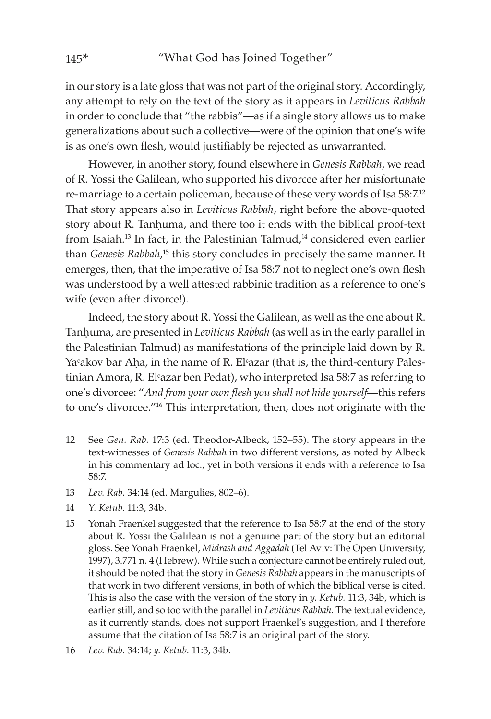in our story is a late gloss that was not part of the original story. Accordingly, any attempt to rely on the text of the story as it appears in *Leviticus Rabbah*  in order to conclude that "the rabbis"—as if a single story allows us to make generalizations about such a collective—were of the opinion that one's wife is as one's own flesh, would justifiably be rejected as unwarranted.

However, in another story, found elsewhere in *Genesis Rabbah*, we read of R. Yossi the Galilean, who supported his divorcee after her misfortunate re-marriage to a certain policeman, because of these very words of Isa 58:7.12 That story appears also in *Leviticus Rabbah*, right before the above-quoted story about R. Tanhuma, and there too it ends with the biblical proof-text from Isaiah.<sup>13</sup> In fact, in the Palestinian Talmud,<sup>14</sup> considered even earlier than *Genesis Rabbah*,<sup>15</sup> this story concludes in precisely the same manner. It emerges, then, that the imperative of Isa 58:7 not to neglect one's own flesh was understood by a well attested rabbinic tradition as a reference to one's wife (even after divorce!).

Indeed, the story about R. Yossi the Galilean, as well as the one about R. Tanhuma, are presented in *Leviticus Rabbah* (as well as in the early parallel in the Palestinian Talmud) as manifestations of the principle laid down by R. Ya°akov bar Aha, in the name of R. El°azar (that is, the third-century Palestinian Amora, R. Elᶜazar ben Pedat), who interpreted Isa 58:7 as referring to one's divorcee: "*And from your own flesh you shall not hide yourself*—this refers to one's divorcee."16 This interpretation, then, does not originate with the

- 12 See *Gen. Rab.* 17:3 (ed. Theodor-Albeck, 152–55). The story appears in the text-witnesses of *Genesis Rabbah* in two different versions, as noted by Albeck in his commentary ad loc., yet in both versions it ends with a reference to Isa 58:7.
- 13 *Lev. Rab.* 34:14 (ed. Margulies, 802–6).
- 14 *Y. Ketub*. 11:3, 34b.
- 15 Yonah Fraenkel suggested that the reference to Isa 58:7 at the end of the story about R. Yossi the Galilean is not a genuine part of the story but an editorial gloss. See Yonah Fraenkel, *Midrash and Aggadah* (Tel Aviv: The Open University, 1997), 3.771 n. 4 (Hebrew). While such a conjecture cannot be entirely ruled out, it should be noted that the story in *Genesis Rabbah* appears in the manuscripts of that work in two different versions, in both of which the biblical verse is cited. This is also the case with the version of the story in *y. Ketub.* 11:3, 34b, which is earlier still, and so too with the parallel in *Leviticus Rabbah*. The textual evidence, as it currently stands, does not support Fraenkel's suggestion, and I therefore assume that the citation of Isa 58:7 is an original part of the story.
- 16 *Lev. Rab.* 34:14; *y. Ketub.* 11:3, 34b.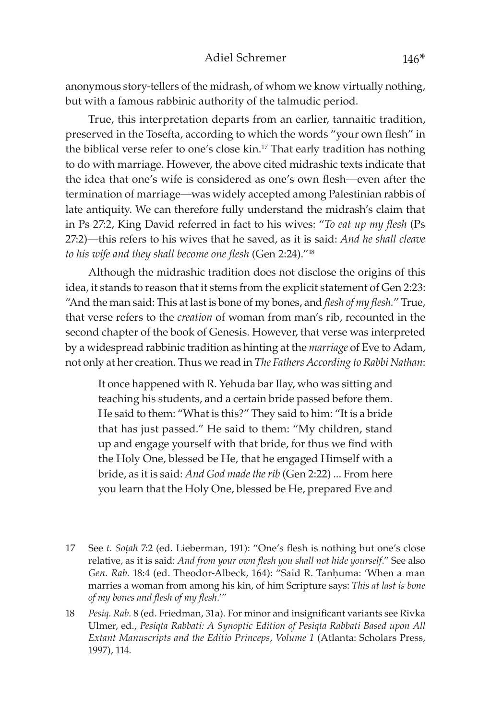anonymous story-tellers of the midrash, of whom we know virtually nothing, but with a famous rabbinic authority of the talmudic period.

True, this interpretation departs from an earlier, tannaitic tradition, preserved in the Tosefta, according to which the words "your own flesh" in the biblical verse refer to one's close kin.<sup>17</sup> That early tradition has nothing to do with marriage. However, the above cited midrashic texts indicate that the idea that one's wife is considered as one's own flesh—even after the termination of marriage—was widely accepted among Palestinian rabbis of late antiquity. We can therefore fully understand the midrash's claim that in Ps 27:2, King David referred in fact to his wives: "*To eat up my flesh* (Ps 27:2)—this refers to his wives that he saved, as it is said: *And he shall cleave to his wife and they shall become one flesh* (Gen 2:24)."18

Although the midrashic tradition does not disclose the origins of this idea, it stands to reason that it stems from the explicit statement of Gen 2:23: "And the man said: This at last is bone of my bones, and *flesh of my flesh.*" True, that verse refers to the *creation* of woman from man's rib, recounted in the second chapter of the book of Genesis. However, that verse was interpreted by a widespread rabbinic tradition as hinting at the *marriage* of Eve to Adam, not only at her creation. Thus we read in *The Fathers According to Rabbi Nathan*:

It once happened with R. Yehuda bar Ilay, who was sitting and teaching his students, and a certain bride passed before them. He said to them: "What is this?" They said to him: "It is a bride that has just passed." He said to them: "My children, stand up and engage yourself with that bride, for thus we find with the Holy One, blessed be He, that he engaged Himself with a bride, as it is said: *And God made the rib* (Gen 2:22) ... From here you learn that the Holy One, blessed be He, prepared Eve and

- 17 See *t. Soûah* 7:2 (ed. Lieberman, 191): "One's flesh is nothing but one's close relative, as it is said: *And from your own flesh you shall not hide yourself*." See also Gen. Rab. 18:4 (ed. Theodor-Albeck, 164): "Said R. Tanhuma: 'When a man marries a woman from among his kin, of him Scripture says: *This at last is bone of my bones and flesh of my flesh*.'"
- 18 *Pesiq. Rab.* 8 (ed. Friedman, 31a). For minor and insignificant variants see Rivka Ulmer, ed., *Pesiqta Rabbati: A Synoptic Edition of Pesiqta Rabbati Based upon All Extant Manuscripts and the Editio Princeps*, *Volume 1* (Atlanta: Scholars Press, 1997), 114.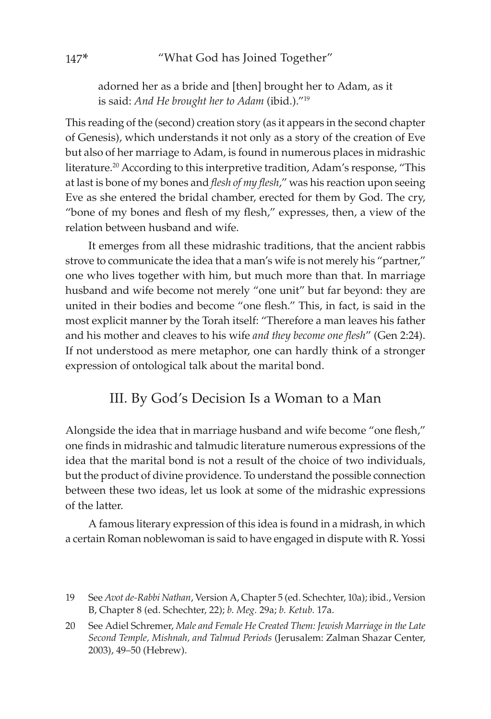adorned her as a bride and [then] brought her to Adam, as it is said: *And He brought her to Adam* (ibid.)."19

This reading of the (second) creation story (as it appears in the second chapter of Genesis), which understands it not only as a story of the creation of Eve but also of her marriage to Adam, is found in numerous places in midrashic literature.20 According to this interpretive tradition, Adam's response, "This at last is bone of my bones and *flesh of my flesh*," was his reaction upon seeing Eve as she entered the bridal chamber, erected for them by God. The cry, "bone of my bones and flesh of my flesh," expresses, then, a view of the relation between husband and wife.

It emerges from all these midrashic traditions, that the ancient rabbis strove to communicate the idea that a man's wife is not merely his "partner," one who lives together with him, but much more than that. In marriage husband and wife become not merely "one unit" but far beyond: they are united in their bodies and become "one flesh." This, in fact, is said in the most explicit manner by the Torah itself: "Therefore a man leaves his father and his mother and cleaves to his wife *and they become one flesh*" (Gen 2:24). If not understood as mere metaphor, one can hardly think of a stronger expression of ontological talk about the marital bond.

## III. By God's Decision Is a Woman to a Man

Alongside the idea that in marriage husband and wife become "one flesh," one finds in midrashic and talmudic literature numerous expressions of the idea that the marital bond is not a result of the choice of two individuals, but the product of divine providence. To understand the possible connection between these two ideas, let us look at some of the midrashic expressions of the latter.

A famous literary expression of this idea is found in a midrash, in which a certain Roman noblewoman is said to have engaged in dispute with R. Yossi

<sup>19</sup> See *Avot de-Rabbi Nathan*, Version A, Chapter 5 (ed. Schechter, 10a); ibid., Version B, Chapter 8 (ed. Schechter, 22); *b. Meg.* 29a; *b. Ketub.* 17a.

<sup>20</sup> See Adiel Schremer, *Male and Female He Created Them: Jewish Marriage in the Late Second Temple, Mishnah, and Talmud Periods* (Jerusalem: Zalman Shazar Center, 2003), 49–50 (Hebrew).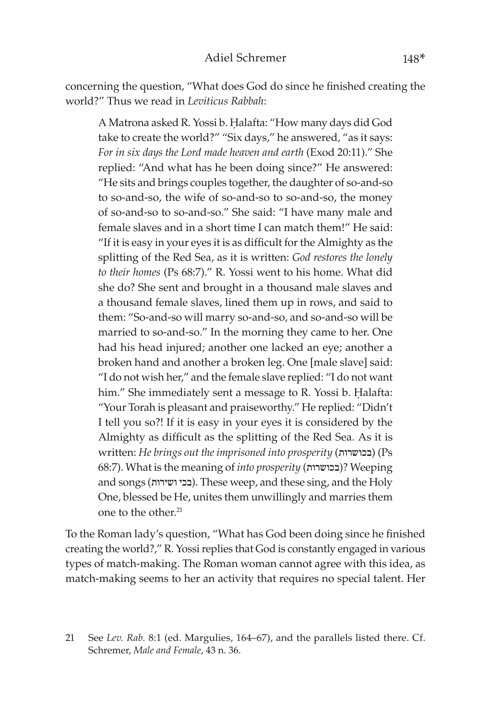concerning the question, "What does God do since he finished creating the world?" Thus we read in *Leviticus Rabbah*:

A Matrona asked R. Yossi b. Halafta: "How many days did God take to create the world?" "Six days," he answered, "as it says: *For in six days the Lord made heaven and earth* (Exod 20:11)." She replied: "And what has he been doing since?" He answered: "He sits and brings couples together, the daughter of so-and-so to so-and-so, the wife of so-and-so to so-and-so, the money of so-and-so to so-and-so." She said: "I have many male and female slaves and in a short time I can match them!" He said: "If it is easy in your eyes it is as difficult for the Almighty as the splitting of the Red Sea, as it is written: *God restores the lonely to their homes* (Ps 68:7)." R. Yossi went to his home. What did she do? She sent and brought in a thousand male slaves and a thousand female slaves, lined them up in rows, and said to them: "So-and-so will marry so-and-so, and so-and-so will be married to so-and-so." In the morning they came to her. One had his head injured; another one lacked an eye; another a broken hand and another a broken leg. One [male slave] said: "I do not wish her," and the female slave replied: "I do not want him." She immediately sent a message to R. Yossi b. Halafta: "Your Torah is pleasant and praiseworthy." He replied: "Didn't I tell you so?! If it is easy in your eyes it is considered by the Almighty as difficult as the splitting of the Red Sea. As it is written: *He brings out the imprisoned into prosperity* (בכושרות) (Ps 68:7). What is the meaning of *into prosperity* (בכושרות ?(Weeping and songs (בכי ושירות). These weep, and these sing, and the Holy One, blessed be He, unites them unwillingly and marries them one to the other.21

To the Roman lady's question, "What has God been doing since he finished creating the world?," R. Yossi replies that God is constantly engaged in various types of match-making. The Roman woman cannot agree with this idea, as match-making seems to her an activity that requires no special talent. Her

<sup>21</sup> See *Lev. Rab.* 8:1 (ed. Margulies, 164–67), and the parallels listed there. Cf. Schremer, *Male and Female*, 43 n. 36.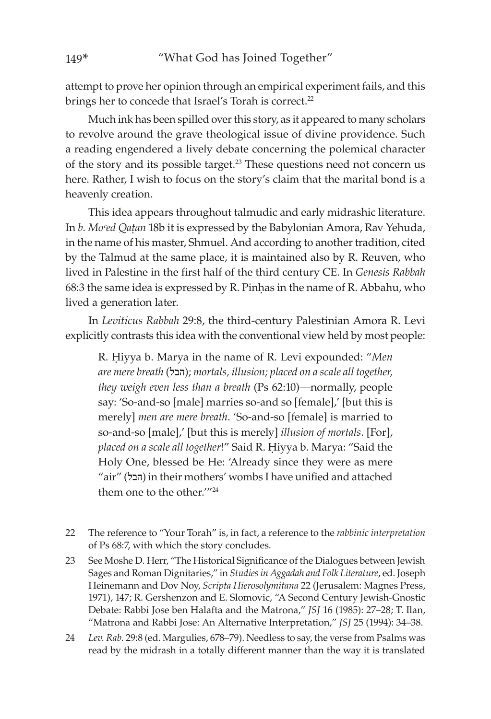attempt to prove her opinion through an empirical experiment fails, and this brings her to concede that Israel's Torah is correct.<sup>22</sup>

Much ink has been spilled over this story, as it appeared to many scholars to revolve around the grave theological issue of divine providence. Such a reading engendered a lively debate concerning the polemical character of the story and its possible target.23 These questions need not concern us here. Rather, I wish to focus on the story's claim that the marital bond is a heavenly creation.

This idea appears throughout talmudic and early midrashic literature. In *b. Moᶜed Qaûan* 18b it is expressed by the Babylonian Amora, Rav Yehuda, in the name of his master, Shmuel. And according to another tradition, cited by the Talmud at the same place, it is maintained also by R. Reuven, who lived in Palestine in the first half of the third century CE. In *Genesis Rabbah* 68:3 the same idea is expressed by R. Pinhas in the name of R. Abbahu, who lived a generation later.

In *Leviticus Rabbah* 29:8, the third-century Palestinian Amora R. Levi explicitly contrasts this idea with the conventional view held by most people:

R. Êiyya b. Marya in the name of R. Levi expounded: "*Men are mere breath* (הבל;(*mortals, illusion; placed on a scale all together, they weigh even less than a breath* (Ps 62:10)—normally, people say: 'So-and-so [male] marries so-and so [female],' [but this is merely] *men are mere breath*. 'So-and-so [female] is married to so-and-so [male],' [but this is merely] *illusion of mortals*. [For], placed on a scale all together!" Said R. Hiyya b. Marya: "Said the Holy One, blessed be He: 'Already since they were as mere "air" (הבל) in their mothers' wombs I have unified and attached them one to the other.'"24

- 22 The reference to "Your Torah" is, in fact, a reference to the *rabbinic interpretation* of Ps 68:7, with which the story concludes.
- 23 See Moshe D. Herr, "The Historical Significance of the Dialogues between Jewish Sages and Roman Dignitaries," in *Studies in Aggadah and Folk Literature*, ed. Joseph Heinemann and Dov Noy, *Scripta Hierosolymitana* 22 (Jerusalem: Magnes Press, 1971), 147; R. Gershenzon and E. Slomovic, "A Second Century Jewish-Gnostic Debate: Rabbi Jose ben Halafta and the Matrona," *JSJ* 16 (1985): 27–28; T. Ilan, "Matrona and Rabbi Jose: An Alternative Interpretation," *JSJ* 25 (1994): 34–38.
- 24 *Lev. Rab.* 29:8 (ed. Margulies, 678–79). Needless to say, the verse from Psalms was read by the midrash in a totally different manner than the way it is translated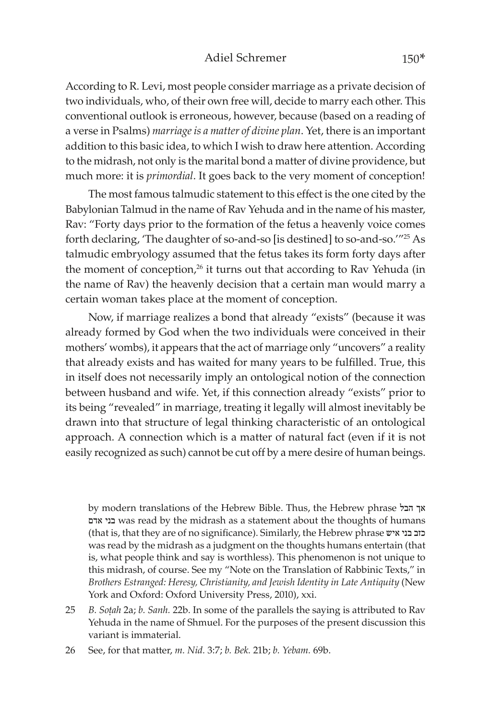#### Adiel Schremer 150\*

According to R. Levi, most people consider marriage as a private decision of two individuals, who, of their own free will, decide to marry each other. This conventional outlook is erroneous, however, because (based on a reading of a verse in Psalms) *marriage is a matter of divine plan*. Yet, there is an important addition to this basic idea, to which I wish to draw here attention. According to the midrash, not only is the marital bond a matter of divine providence, but much more: it is *primordial*. It goes back to the very moment of conception!

The most famous talmudic statement to this effect is the one cited by the Babylonian Talmud in the name of Rav Yehuda and in the name of his master, Rav: "Forty days prior to the formation of the fetus a heavenly voice comes forth declaring, 'The daughter of so-and-so [is destined] to so-and-so.'"25 As talmudic embryology assumed that the fetus takes its form forty days after the moment of conception,<sup>26</sup> it turns out that according to Rav Yehuda (in the name of Rav) the heavenly decision that a certain man would marry a certain woman takes place at the moment of conception.

Now, if marriage realizes a bond that already "exists" (because it was already formed by God when the two individuals were conceived in their mothers' wombs), it appears that the act of marriage only "uncovers" a reality that already exists and has waited for many years to be fulfilled. True, this in itself does not necessarily imply an ontological notion of the connection between husband and wife. Yet, if this connection already "exists" prior to its being "revealed" in marriage, treating it legally will almost inevitably be drawn into that structure of legal thinking characteristic of an ontological approach. A connection which is a matter of natural fact (even if it is not easily recognized as such) cannot be cut off by a mere desire of human beings.

by modern translations of the Hebrew Bible. Thus, the Hebrew phrase הבל אך אדם בני was read by the midrash as a statement about the thoughts of humans (that is, that they are of no significance). Similarly, the Hebrew phrase איש בני כזב was read by the midrash as a judgment on the thoughts humans entertain (that is, what people think and say is worthless). This phenomenon is not unique to this midrash, of course. See my "Note on the Translation of Rabbinic Texts," in *Brothers Estranged: Heresy, Christianity, and Jewish Identity in Late Antiquity* (New York and Oxford: Oxford University Press, 2010), xxi.

- 25 *B. Soûah* 2a; *b. Sanh.* 22b. In some of the parallels the saying is attributed to Rav Yehuda in the name of Shmuel. For the purposes of the present discussion this variant is immaterial.
- 26 See, for that matter, *m. Nid.* 3:7; *b. Bek.* 21b; *b. Yebam.* 69b.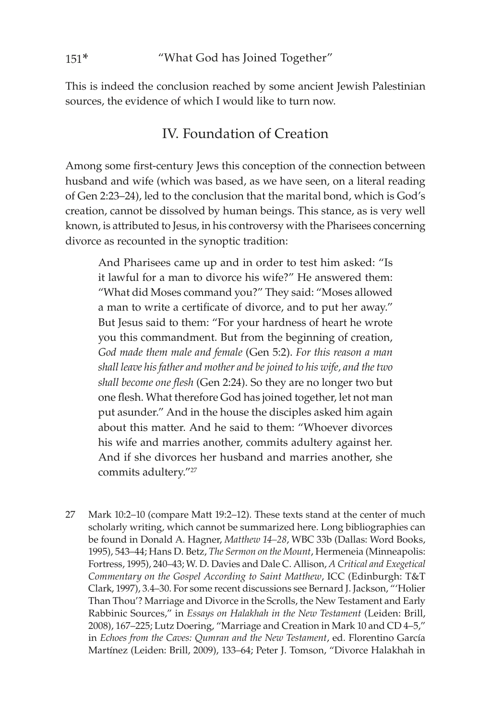This is indeed the conclusion reached by some ancient Jewish Palestinian sources, the evidence of which I would like to turn now.

### IV. Foundation of Creation

Among some first-century Jews this conception of the connection between husband and wife (which was based, as we have seen, on a literal reading of Gen 2:23–24), led to the conclusion that the marital bond, which is God's creation, cannot be dissolved by human beings. This stance, as is very well known, is attributed to Jesus, in his controversy with the Pharisees concerning divorce as recounted in the synoptic tradition:

And Pharisees came up and in order to test him asked: "Is it lawful for a man to divorce his wife?" He answered them: "What did Moses command you?" They said: "Moses allowed a man to write a certificate of divorce, and to put her away." But Jesus said to them: "For your hardness of heart he wrote you this commandment. But from the beginning of creation, *God made them male and female* (Gen 5:2). *For this reason a man shall leave his father and mother and be joined to his wife, and the two shall become one flesh* (Gen 2:24). So they are no longer two but one flesh. What therefore God has joined together, let not man put asunder." And in the house the disciples asked him again about this matter. And he said to them: "Whoever divorces his wife and marries another, commits adultery against her. And if she divorces her husband and marries another, she commits adultery."27

27 Mark 10:2–10 (compare Matt 19:2–12). These texts stand at the center of much scholarly writing, which cannot be summarized here. Long bibliographies can be found in Donald A. Hagner, *Matthew 14–28*, WBC 33b (Dallas: Word Books, 1995), 543–44; Hans D. Betz, *The Sermon on the Mount*, Hermeneia (Minneapolis: Fortress, 1995), 240–43; W. D. Davies and Dale C. Allison, *A Critical and Exegetical Commentary on the Gospel According to Saint Matthew*, ICC (Edinburgh: T&T Clark, 1997), 3.4–30. For some recent discussions see Bernard J. Jackson, "'Holier Than Thou'? Marriage and Divorce in the Scrolls, the New Testament and Early Rabbinic Sources," in *Essays on Halakhah in the New Testament* (Leiden: Brill, 2008), 167–225; Lutz Doering, "Marriage and Creation in Mark 10 and CD 4–5," in *Echoes from the Caves: Qumran and the New Testament*, ed. Florentino Garc�a Martínez (Leiden: Brill, 2009), 133–64; Peter J. Tomson, "Divorce Halakhah in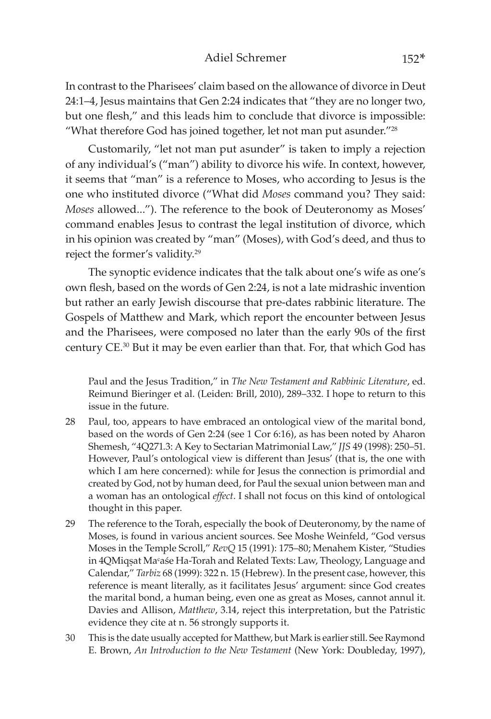#### Adiel Schremer 152<sup>\*</sup>

In contrast to the Pharisees' claim based on the allowance of divorce in Deut 24:1–4, Jesus maintains that Gen 2:24 indicates that "they are no longer two, but one flesh," and this leads him to conclude that divorce is impossible: "What therefore God has joined together, let not man put asunder."28

Customarily, "let not man put asunder" is taken to imply a rejection of any individual's ("man") ability to divorce his wife. In context, however, it seems that "man" is a reference to Moses, who according to Jesus is the one who instituted divorce ("What did *Moses* command you? They said: *Moses* allowed..."). The reference to the book of Deuteronomy as Moses' command enables Jesus to contrast the legal institution of divorce, which in his opinion was created by "man" (Moses), with God's deed, and thus to reject the former's validity.29

The synoptic evidence indicates that the talk about one's wife as one's own flesh, based on the words of Gen 2:24, is not a late midrashic invention but rather an early Jewish discourse that pre-dates rabbinic literature. The Gospels of Matthew and Mark, which report the encounter between Jesus and the Pharisees, were composed no later than the early 90s of the first century CE.30 But it may be even earlier than that. For, that which God has

Paul and the Jesus Tradition," in *The New Testament and Rabbinic Literature*, ed. Reimund Bieringer et al. (Leiden: Brill, 2010), 289–332. I hope to return to this issue in the future.

- 28 Paul, too, appears to have embraced an ontological view of the marital bond, based on the words of Gen 2:24 (see 1 Cor 6:16), as has been noted by Aharon Shemesh, "4Q271.3: A Key to Sectarian Matrimonial Law," *JJS* 49 (1998): 250–51. However, Paul's ontological view is different than Jesus' (that is, the one with which I am here concerned): while for Jesus the connection is primordial and created by God, not by human deed, for Paul the sexual union between man and a woman has an ontological *effect*. I shall not focus on this kind of ontological thought in this paper.
- 29 The reference to the Torah, especially the book of Deuteronomy, by the name of Moses, is found in various ancient sources. See Moshe Weinfeld, "God versus Moses in the Temple Scroll," *RevQ* 15 (1991): 175–80; Menahem Kister, "Studies in 4QMiqsat Ma°aśe Ha-Torah and Related Texts: Law, Theology, Language and Calendar," *Tarbiz* 68 (1999): 322 n. 15 (Hebrew). In the present case, however, this reference is meant literally, as it facilitates Jesus' argument: since God creates the marital bond, a human being, even one as great as Moses, cannot annul it. Davies and Allison, *Matthew*, 3.14, reject this interpretation, but the Patristic evidence they cite at n. 56 strongly supports it.
- 30 This is the date usually accepted for Matthew, but Mark is earlier still. See Raymond E. Brown, *An Introduction to the New Testament* (New York: Doubleday, 1997),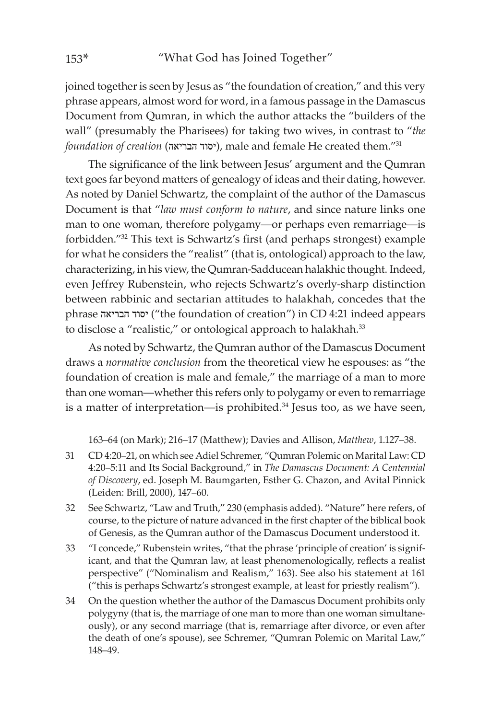joined together is seen by Jesus as "the foundation of creation," and this very phrase appears, almost word for word, in a famous passage in the Damascus Document from Qumran, in which the author attacks the "builders of the wall" (presumably the Pharisees) for taking two wives, in contrast to "*the*   $f$ oundation of creation (יסוד הבריאה), male and female He created them."31

The significance of the link between Jesus' argument and the Qumran text goes far beyond matters of genealogy of ideas and their dating, however. As noted by Daniel Schwartz, the complaint of the author of the Damascus Document is that "*law must conform to nature*, and since nature links one man to one woman, therefore polygamy—or perhaps even remarriage—is forbidden."32 This text is Schwartz's first (and perhaps strongest) example for what he considers the "realist" (that is, ontological) approach to the law, characterizing, in his view, the Qumran-Sadducean halakhic thought. Indeed, even Jeffrey Rubenstein, who rejects Schwartz's overly-sharp distinction between rabbinic and sectarian attitudes to halakhah, concedes that the phrase הבריאה יסוד") the foundation of creation") in CD 4:21 indeed appears to disclose a "realistic," or ontological approach to halakhah.<sup>33</sup>

As noted by Schwartz, the Qumran author of the Damascus Document draws a *normative conclusion* from the theoretical view he espouses: as "the foundation of creation is male and female," the marriage of a man to more than one woman—whether this refers only to polygamy or even to remarriage is a matter of interpretation—is prohibited.<sup>34</sup> Jesus too, as we have seen,

163–64 (on Mark); 216–17 (Matthew); Davies and Allison, *Matthew*, 1.127–38.

- 31 CD 4:20–21, on which see Adiel Schremer, "Qumran Polemic on Marital Law: CD 4:20–5:11 and Its Social Background," in *The Damascus Document: A Centennial of Discovery*, ed. Joseph M. Baumgarten, Esther G. Chazon, and Avital Pinnick (Leiden: Brill, 2000), 147–60.
- 32 See Schwartz, "Law and Truth," 230 (emphasis added). "Nature" here refers, of course, to the picture of nature advanced in the first chapter of the biblical book of Genesis, as the Qumran author of the Damascus Document understood it.
- 33 "I concede," Rubenstein writes, "that the phrase 'principle of creation' is significant, and that the Qumran law, at least phenomenologically, reflects a realist perspective" ("Nominalism and Realism," 163). See also his statement at 161 ("this is perhaps Schwartz's strongest example, at least for priestly realism").
- 34 On the question whether the author of the Damascus Document prohibits only polygyny (that is, the marriage of one man to more than one woman simultaneously), or any second marriage (that is, remarriage after divorce, or even after the death of one's spouse), see Schremer, "Qumran Polemic on Marital Law," 148–49.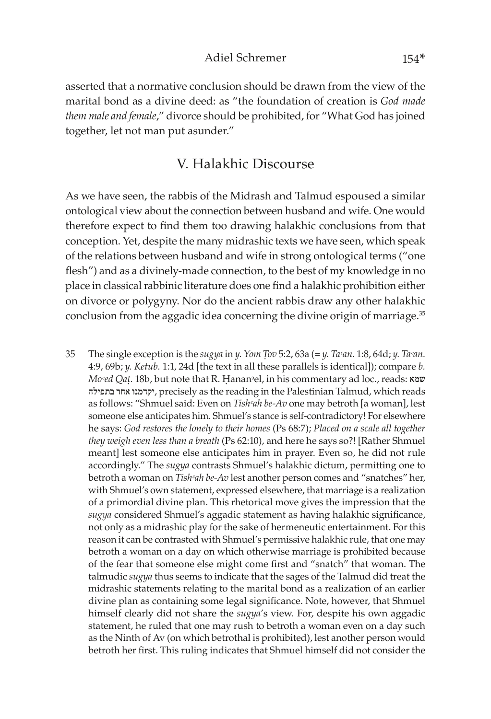#### Adiel Schremer 154\*

asserted that a normative conclusion should be drawn from the view of the marital bond as a divine deed: as "the foundation of creation is *God made them male and female*," divorce should be prohibited, for "What God has joined together, let not man put asunder."

### V. Halakhic Discourse

As we have seen, the rabbis of the Midrash and Talmud espoused a similar ontological view about the connection between husband and wife. One would therefore expect to find them too drawing halakhic conclusions from that conception. Yet, despite the many midrashic texts we have seen, which speak of the relations between husband and wife in strong ontological terms ("one flesh") and as a divinely-made connection, to the best of my knowledge in no place in classical rabbinic literature does one find a halakhic prohibition either on divorce or polygyny. Nor do the ancient rabbis draw any other halakhic conclusion from the aggadic idea concerning the divine origin of marriage.<sup>35</sup>

35 The single exception is the *sugya* in *y. Yom Tov* 5:2, 63a (=  $\gamma$ . *Ta*<sup> $\alpha$ </sup>*an.* 1:8, 64d;  $\gamma$ . *Ta* $\alpha$ *an.* 4:9, 69b; *y. Ketub.* 1:1, 24d [the text in all these parallels is identical]); compare *b. Moᶜed Qaû.* 18b, but note that R. Êananᵓel, in his commentary ad loc., reads: שמא בתפילה אחר יקדמנו, precisely as the reading in the Palestinian Talmud, which reads as follows: "Shmuel said: Even on *Tishᶜah be-Av* one may betroth [a woman], lest someone else anticipates him. Shmuel's stance is self-contradictory! For elsewhere he says: *God restores the lonely to their homes* (Ps 68:7); *Placed on a scale all together they weigh even less than a breath* (Ps 62:10), and here he says so?! [Rather Shmuel meant] lest someone else anticipates him in prayer. Even so, he did not rule accordingly." The *sugya* contrasts Shmuel's halakhic dictum, permitting one to betroth a woman on *Tishᶜah be-Av* lest another person comes and "snatches" her, with Shmuel's own statement, expressed elsewhere, that marriage is a realization of a primordial divine plan. This rhetorical move gives the impression that the *sugya* considered Shmuel's aggadic statement as having halakhic significance, not only as a midrashic play for the sake of hermeneutic entertainment. For this reason it can be contrasted with Shmuel's permissive halakhic rule, that one may betroth a woman on a day on which otherwise marriage is prohibited because of the fear that someone else might come first and "snatch" that woman. The talmudic *sugya* thus seems to indicate that the sages of the Talmud did treat the midrashic statements relating to the marital bond as a realization of an earlier divine plan as containing some legal significance. Note, however, that Shmuel himself clearly did not share the *sugya*'s view. For, despite his own aggadic statement, he ruled that one may rush to betroth a woman even on a day such as the Ninth of Av (on which betrothal is prohibited), lest another person would betroth her first. This ruling indicates that Shmuel himself did not consider the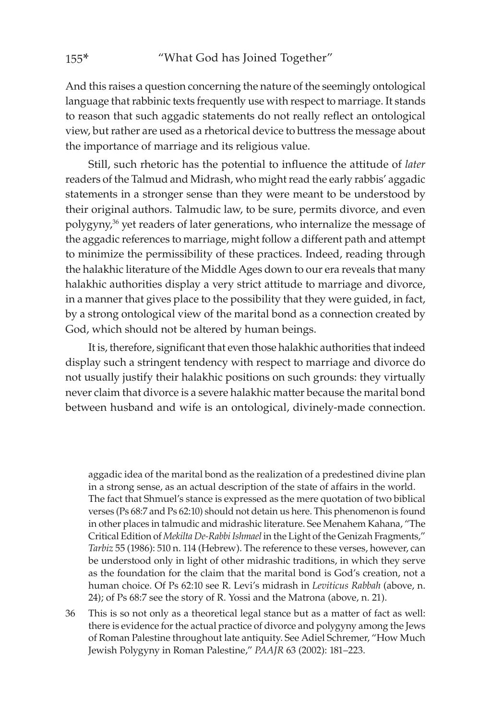And this raises a question concerning the nature of the seemingly ontological language that rabbinic texts frequently use with respect to marriage. It stands to reason that such aggadic statements do not really reflect an ontological view, but rather are used as a rhetorical device to buttress the message about the importance of marriage and its religious value.

Still, such rhetoric has the potential to influence the attitude of *later* readers of the Talmud and Midrash, who might read the early rabbis' aggadic statements in a stronger sense than they were meant to be understood by their original authors. Talmudic law, to be sure, permits divorce, and even polygyny,<sup>36</sup> yet readers of later generations, who internalize the message of the aggadic references to marriage, might follow a different path and attempt to minimize the permissibility of these practices. Indeed, reading through the halakhic literature of the Middle Ages down to our era reveals that many halakhic authorities display a very strict attitude to marriage and divorce, in a manner that gives place to the possibility that they were guided, in fact, by a strong ontological view of the marital bond as a connection created by God, which should not be altered by human beings.

It is, therefore, significant that even those halakhic authorities that indeed display such a stringent tendency with respect to marriage and divorce do not usually justify their halakhic positions on such grounds: they virtually never claim that divorce is a severe halakhic matter because the marital bond between husband and wife is an ontological, divinely-made connection.

aggadic idea of the marital bond as the realization of a predestined divine plan in a strong sense, as an actual description of the state of affairs in the world. The fact that Shmuel's stance is expressed as the mere quotation of two biblical verses (Ps 68:7 and Ps 62:10) should not detain us here. This phenomenon is found in other places in talmudic and midrashic literature. See Menahem Kahana, "The Critical Edition of *Mekilta De-Rabbi Ishmael* in the Light of the Genizah Fragments," *Tarbiz* 55 (1986): 510 n. 114 (Hebrew). The reference to these verses, however, can be understood only in light of other midrashic traditions, in which they serve as the foundation for the claim that the marital bond is God's creation, not a human choice. Of Ps 62:10 see R. Levi's midrash in *Leviticus Rabbah* (above, n. 24); of Ps 68:7 see the story of R. Yossi and the Matrona (above, n. 21).

36 This is so not only as a theoretical legal stance but as a matter of fact as well: there is evidence for the actual practice of divorce and polygyny among the Jews of Roman Palestine throughout late antiquity. See Adiel Schremer, "How Much Jewish Polygyny in Roman Palestine," *PAAJR* 63 (2002): 181–223.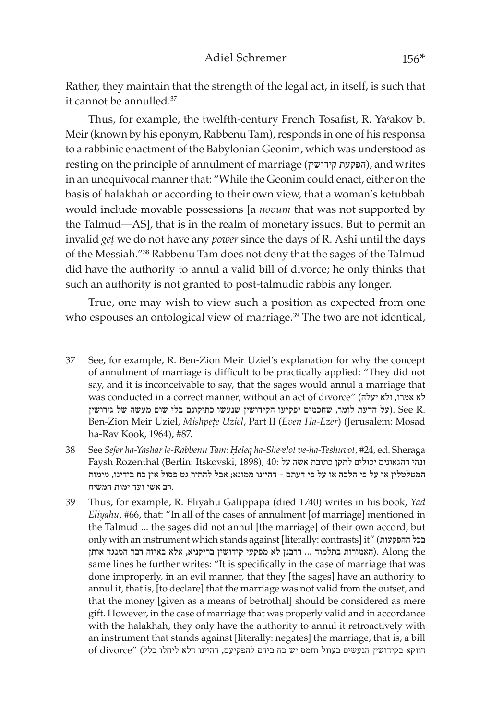Rather, they maintain that the strength of the legal act, in itself, is such that it cannot be annulled.<sup>37</sup>

Thus, for example, the twelfth-century French Tosafist, R. Yaᶜakov b. Meir (known by his eponym, Rabbenu Tam), responds in one of his responsa to a rabbinic enactment of the Babylonian Geonim, which was understood as resting on the principle of annulment of marriage (קידושין הפקעת(, and writes in an unequivocal manner that: "While the Geonim could enact, either on the basis of halakhah or according to their own view, that a woman's ketubbah would include movable possessions [a *novum* that was not supported by the Talmud—AS], that is in the realm of monetary issues. But to permit an invalid *get* we do not have any *power* since the days of R. Ashi until the days of the Messiah."38 Rabbenu Tam does not deny that the sages of the Talmud did have the authority to annul a valid bill of divorce; he only thinks that such an authority is not granted to post-talmudic rabbis any longer.

True, one may wish to view such a position as expected from one who espouses an ontological view of marriage.<sup>39</sup> The two are not identical,

- 37 See, for example, R. Ben-Zion Meir Uziel's explanation for why the concept of annulment of marriage is difficult to be practically applied: "They did not say, and it is inconceivable to say, that the sages would annul a marriage that was conducted in a correct manner, without an act of divorce" (יעלה ולא ,אמרו לא על הדעת לומר, שחכמים יפקיעו הקידושין שנעשו כתיקונם בלי שום מעשה של גירושין See R. Ben-Zion Meir Uziel, *Mishpețe Uziel*, Part II (*Even Ha-Ezer*) (Jerusalem: Mosad ha-Rav Kook, 1964), #87.
- 38 See *Sefer ha-Yashar le-Rabbenu Tam: Êeleq ha-Sheᵓelot ve-ha-Teshuvot*, #24, ed. Sheraga Faysh Rozenthal (Berlin: Itskovski, 1898), 40: ונהי דהגאונים יכולים לתקן כתובת אשה על המטלטלין או על פי הלכה או על פי דעתם – דהיינו ממונא; אבל להתיר גט פסול אין כח בידינו, מימות .רב אשי ועד ימות המשיח
- 39 Thus, for example, R. Eliyahu Galippapa (died 1740) writes in his book, *Yad Eliyahu*, #66, that: "In all of the cases of annulment [of marriage] mentioned in the Talmud ... the sages did not annul [the marriage] of their own accord, but only with an instrument which stands against [literally: contrasts] it" (ההפקעות בכל the Along .)האמורות בתלמוד ... דרבנן לא מפקעי קידושין בריקניא, אלא באיזה דבר המנגד אותן same lines he further writes: "It is specifically in the case of marriage that was done improperly, in an evil manner, that they [the sages] have an authority to annul it, that is, [to declare] that the marriage was not valid from the outset, and that the money [given as a means of betrothal] should be considered as mere gift. However, in the case of marriage that was properly valid and in accordance with the halakhah, they only have the authority to annul it retroactively with an instrument that stands against [literally: negates] the marriage, that is, a bill דווקא בקידושין הנעשים בעוול וחמס יש כח בידם להפקיעם, דהיינו דלא ליחלו כלל) "divorce of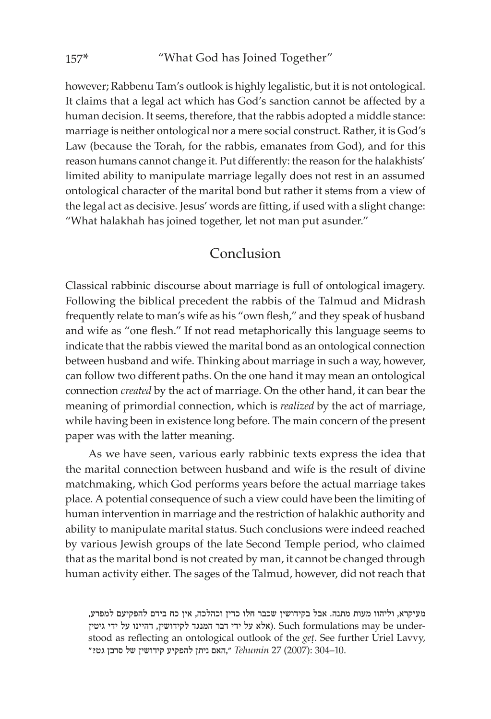however; Rabbenu Tam's outlook is highly legalistic, but it is not ontological. It claims that a legal act which has God's sanction cannot be affected by a human decision. It seems, therefore, that the rabbis adopted a middle stance: marriage is neither ontological nor a mere social construct. Rather, it is God's Law (because the Torah, for the rabbis, emanates from God), and for this reason humans cannot change it. Put differently: the reason for the halakhists' limited ability to manipulate marriage legally does not rest in an assumed ontological character of the marital bond but rather it stems from a view of the legal act as decisive. Jesus' words are fitting, if used with a slight change: "What halakhah has joined together, let not man put asunder."

### Conclusion

Classical rabbinic discourse about marriage is full of ontological imagery. Following the biblical precedent the rabbis of the Talmud and Midrash frequently relate to man's wife as his "own flesh," and they speak of husband and wife as "one flesh." If not read metaphorically this language seems to indicate that the rabbis viewed the marital bond as an ontological connection between husband and wife. Thinking about marriage in such a way, however, can follow two different paths. On the one hand it may mean an ontological connection *created* by the act of marriage. On the other hand, it can bear the meaning of primordial connection, which is *realized* by the act of marriage, while having been in existence long before. The main concern of the present paper was with the latter meaning.

As we have seen, various early rabbinic texts express the idea that the marital connection between husband and wife is the result of divine matchmaking, which God performs years before the actual marriage takes place. A potential consequence of such a view could have been the limiting of human intervention in marriage and the restriction of halakhic authority and ability to manipulate marital status. Such conclusions were indeed reached by various Jewish groups of the late Second Temple period, who claimed that as the marital bond is not created by man, it cannot be changed through human activity either. The sages of the Talmud, however, did not reach that

מעיקרא, וליהוו מעות מתנה. אבל בקידושין שכבר חלו כדין וכהלכה, אין כח בידם להפקיעם למפרע, גגגד לקידושין, דהיינו על ידי גיטין Such formulations may be understood as reflecting an ontological outlook of the *get*. See further Uriel Lavvy, 10.–304 :(2007) 27 *Tehumin* ״,האם ניתן להפקיע קידושין של סרבן גט?״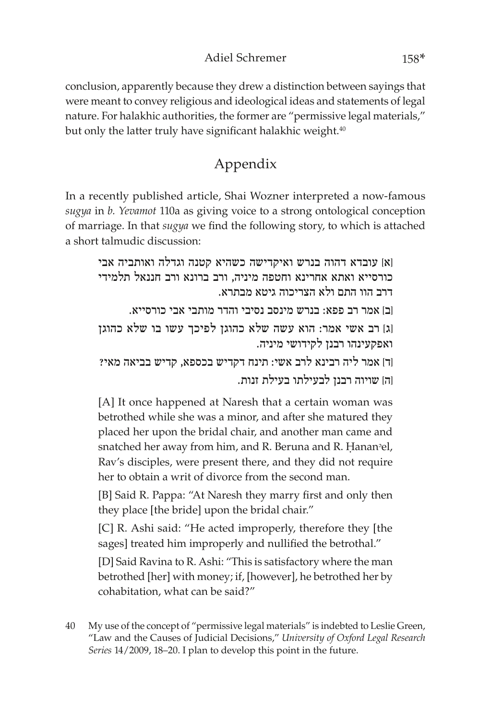### Adiel Schremer 158\*

conclusion, apparently because they drew a distinction between sayings that were meant to convey religious and ideological ideas and statements of legal nature. For halakhic authorities, the former are "permissive legal materials," but only the latter truly have significant halakhic weight.<sup>40</sup>

# Appendix

In a recently published article, Shai Wozner interpreted a now-famous *sugya* in *b. Yevamot* 110a as giving voice to a strong ontological conception of marriage. In that *sugya* we find the following story, to which is attached a short talmudic discussion:

]א[ עובדא דהוה בנרש ואיקדישה כשהיא קטנה וגדלה ואותביה אבי כורסייא ואתא אחרינא וחטפה מיניה, ורב ברונא ורב חננאל תלמידי דרב הוו התם ולא הצריכוה גיטא מבתרא. ]ב[ אמר רב פפא: בנרש מינסב נסיבי והדר מותבי אבי כורסייא. ]ג[ רב אשי אמר: הוא עשה שלא כהוגן לפיכך עשו בו שלא כהוגן ואפקעינהו רבנן לקידושי מיניה. ]ד[ אמר ליה רבינא לרב אשי: תינח דקדיש בכספא, קדיש בביאה מאי? ]ה[ שויוה רבנן לבעילתו בעילת זנות.

[A] It once happened at Naresh that a certain woman was betrothed while she was a minor, and after she matured they placed her upon the bridal chair, and another man came and snatched her away from him, and R. Beruna and R. Hanan<sup>o</sup>el, Rav's disciples, were present there, and they did not require her to obtain a writ of divorce from the second man.

[B] Said R. Pappa: "At Naresh they marry first and only then they place [the bride] upon the bridal chair."

[C] R. Ashi said: "He acted improperly, therefore they [the sages] treated him improperly and nullified the betrothal."

[D] Said Ravina to R. Ashi: "This is satisfactory where the man betrothed [her] with money; if, [however], he betrothed her by cohabitation, what can be said?"

40 My use of the concept of "permissive legal materials" is indebted to Leslie Green, "Law and the Causes of Judicial Decisions," *University of Oxford Legal Research Series* 14/2009, 18–20. I plan to develop this point in the future.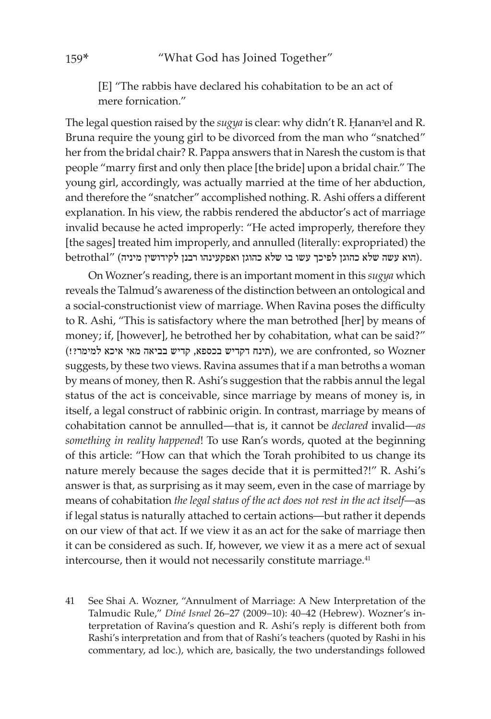[E] "The rabbis have declared his cohabitation to be an act of mere fornication"

The legal question raised by the *sugya* is clear: why didn't R. Hanan<sup>o</sup>el and R. Bruna require the young girl to be divorced from the man who "snatched" her from the bridal chair? R. Pappa answers that in Naresh the custom is that people "marry first and only then place [the bride] upon a bridal chair." The young girl, accordingly, was actually married at the time of her abduction, and therefore the "snatcher" accomplished nothing. R. Ashi offers a different explanation. In his view, the rabbis rendered the abductor's act of marriage invalid because he acted improperly: "He acted improperly, therefore they [the sages] treated him improperly, and annulled (literally: expropriated) the .(הוא עשה שלא כהוגן לפיכך עשו בו שלא כהוגן ואפקעינהו רבנן לקידושין מיניה) "betrothal

On Wozner's reading, there is an important moment in this *sugya* which reveals the Talmud's awareness of the distinction between an ontological and a social-constructionist view of marriage. When Ravina poses the difficulty to R. Ashi, "This is satisfactory where the man betrothed [her] by means of money; if, [however], he betrothed her by cohabitation, what can be said?" (תינח דקדיש בכספא, קדיש בביאה מאי איכא למימר?!), we are confronted, so Wozner suggests, by these two views. Ravina assumes that if a man betroths a woman by means of money, then R. Ashi's suggestion that the rabbis annul the legal status of the act is conceivable, since marriage by means of money is, in itself, a legal construct of rabbinic origin. In contrast, marriage by means of cohabitation cannot be annulled—that is, it cannot be *declared* invalid—*as something in reality happened*! To use Ran's words, quoted at the beginning of this article: "How can that which the Torah prohibited to us change its nature merely because the sages decide that it is permitted?!" R. Ashi's answer is that, as surprising as it may seem, even in the case of marriage by means of cohabitation *the legal status of the act does not rest in the act itself*—as if legal status is naturally attached to certain actions—but rather it depends on our view of that act. If we view it as an act for the sake of marriage then it can be considered as such. If, however, we view it as a mere act of sexual intercourse, then it would not necessarily constitute marriage.<sup>41</sup>

41 See Shai A. Wozner, "Annulment of Marriage: A New Interpretation of the Talmudic Rule," *Diné Israel* 26–27 (2009–10): 40–42 (Hebrew). Wozner's interpretation of Ravina's question and R. Ashi's reply is different both from Rashi's interpretation and from that of Rashi's teachers (quoted by Rashi in his commentary, ad loc.), which are, basically, the two understandings followed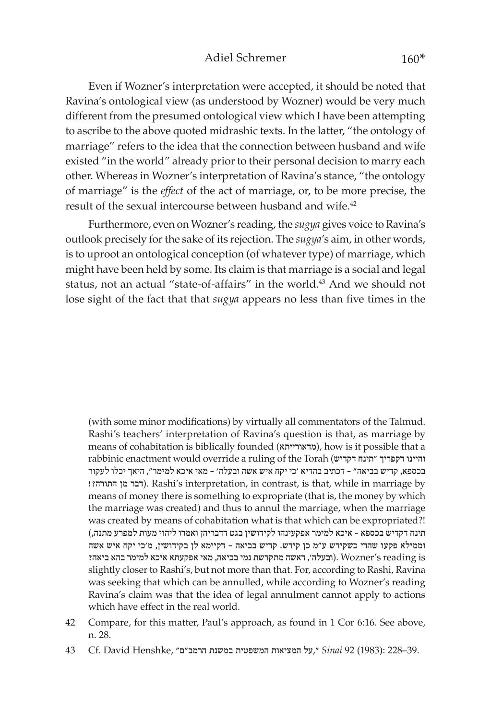Even if Wozner's interpretation were accepted, it should be noted that Ravina's ontological view (as understood by Wozner) would be very much different from the presumed ontological view which I have been attempting to ascribe to the above quoted midrashic texts. In the latter, "the ontology of marriage" refers to the idea that the connection between husband and wife existed "in the world" already prior to their personal decision to marry each other. Whereas in Wozner's interpretation of Ravina's stance, "the ontology of marriage" is the *effect* of the act of marriage, or, to be more precise, the result of the sexual intercourse between husband and wife.<sup>42</sup>

Furthermore, even on Wozner's reading, the *sugya* gives voice to Ravina's outlook precisely for the sake of its rejection. The *sugya*'s aim, in other words, is to uproot an ontological conception (of whatever type) of marriage, which might have been held by some. Its claim is that marriage is a social and legal status, not an actual "state-of-affairs" in the world.<sup>43</sup> And we should not lose sight of the fact that that *sugya* appears no less than five times in the

(with some minor modifications) by virtually all commentators of the Talmud. Rashi's teachers' interpretation of Ravina's question is that, as marriage by means of cohabitation is biblically founded (מדאורייתא), how is it possible that a rabbinic enactment would override a ruling of the Torah (דקדיש תינח "דקפריך והיינו בכספא, קדיש בביאה" – דכתיב בהדיא 'כי יקח איש אשה ובעלה' – מאי איכא למימר", היאך יכלו לעקור !דבר מן התורה (. Rashi's interpretation, in contrast, is that, while in marriage by means of money there is something to expropriate (that is, the money by which the marriage was created) and thus to annul the marriage, when the marriage was created by means of cohabitation what is that which can be expropriated?! תינח דקדיש בכספא – איכא למימר אפקעינהו לקידושין בגט דדבריהן ואמרו ליהוי מעות למפרע מתנה,) וממילא פקעו שהרי כשקידש ע"מ כן קידש. קדיש בביאה – דקיימא לן בקידושין, מ'כי יקח איש אשה ובעלה', דאשה מתקדשת נמי בביאה, מאי אפקעתא איכא למימר בהא ביאה? Wozner's reading is slightly closer to Rashi's, but not more than that. For, according to Rashi, Ravina was seeking that which can be annulled, while according to Wozner's reading Ravina's claim was that the idea of legal annulment cannot apply to actions which have effect in the real world.

- 42 Compare, for this matter, Paul's approach, as found in 1 Cor 6:16. See above, n. 28.
- 39.–228 :(1983) 92 *Sinai* ״,על המציאות המשפטית במשנת הרמב"ם״ ,Henshke David .Cf 43